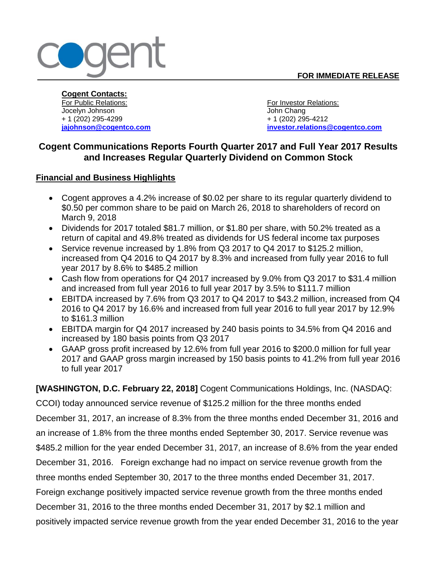

**Cogent Contacts:** For Public Relations: For Investor Relations: Jocelyn Johnson John Chang + 1 (202) 295-4299 + 1 (202) 295-4212

**[jajohnson@cogentco.com](mailto:jajohnson@cogentco.com) investor.relations@cogentco.com**

# **Cogent Communications Reports Fourth Quarter 2017 and Full Year 2017 Results and Increases Regular Quarterly Dividend on Common Stock**

# **Financial and Business Highlights**

- Cogent approves a 4.2% increase of \$0.02 per share to its regular quarterly dividend to \$0.50 per common share to be paid on March 26, 2018 to shareholders of record on March 9, 2018
- Dividends for 2017 totaled \$81.7 million, or \$1.80 per share, with 50.2% treated as a return of capital and 49.8% treated as dividends for US federal income tax purposes
- Service revenue increased by 1.8% from Q3 2017 to Q4 2017 to \$125.2 million, increased from Q4 2016 to Q4 2017 by 8.3% and increased from fully year 2016 to full year 2017 by 8.6% to \$485.2 million
- Cash flow from operations for Q4 2017 increased by 9.0% from Q3 2017 to \$31.4 million and increased from full year 2016 to full year 2017 by 3.5% to \$111.7 million
- EBITDA increased by 7.6% from Q3 2017 to Q4 2017 to \$43.2 million, increased from Q4 2016 to Q4 2017 by 16.6% and increased from full year 2016 to full year 2017 by 12.9% to \$161.3 million
- EBITDA margin for Q4 2017 increased by 240 basis points to 34.5% from Q4 2016 and increased by 180 basis points from Q3 2017
- GAAP gross profit increased by 12.6% from full year 2016 to \$200.0 million for full year 2017 and GAAP gross margin increased by 150 basis points to 41.2% from full year 2016 to full year 2017

**[WASHINGTON, D.C. February 22, 2018]** Cogent Communications Holdings, Inc. (NASDAQ:

CCOI) today announced service revenue of \$125.2 million for the three months ended December 31, 2017, an increase of 8.3% from the three months ended December 31, 2016 and an increase of 1.8% from the three months ended September 30, 2017. Service revenue was \$485.2 million for the year ended December 31, 2017, an increase of 8.6% from the year ended December 31, 2016. Foreign exchange had no impact on service revenue growth from the three months ended September 30, 2017 to the three months ended December 31, 2017. Foreign exchange positively impacted service revenue growth from the three months ended December 31, 2016 to the three months ended December 31, 2017 by \$2.1 million and positively impacted service revenue growth from the year ended December 31, 2016 to the year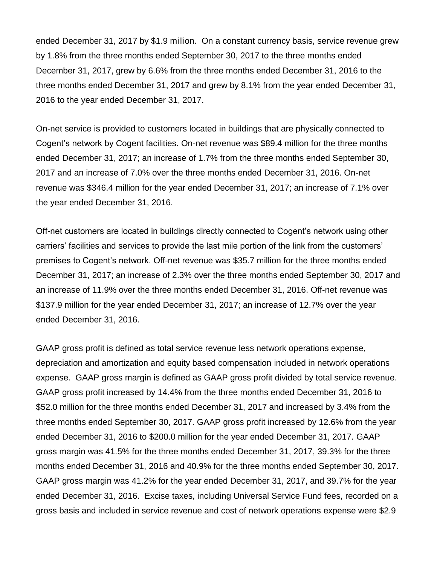ended December 31, 2017 by \$1.9 million. On a constant currency basis, service revenue grew by 1.8% from the three months ended September 30, 2017 to the three months ended December 31, 2017, grew by 6.6% from the three months ended December 31, 2016 to the three months ended December 31, 2017 and grew by 8.1% from the year ended December 31, 2016 to the year ended December 31, 2017.

On-net service is provided to customers located in buildings that are physically connected to Cogent's network by Cogent facilities. On-net revenue was \$89.4 million for the three months ended December 31, 2017; an increase of 1.7% from the three months ended September 30, 2017 and an increase of 7.0% over the three months ended December 31, 2016. On-net revenue was \$346.4 million for the year ended December 31, 2017; an increase of 7.1% over the year ended December 31, 2016.

Off-net customers are located in buildings directly connected to Cogent's network using other carriers' facilities and services to provide the last mile portion of the link from the customers' premises to Cogent's network. Off-net revenue was \$35.7 million for the three months ended December 31, 2017; an increase of 2.3% over the three months ended September 30, 2017 and an increase of 11.9% over the three months ended December 31, 2016. Off-net revenue was \$137.9 million for the year ended December 31, 2017; an increase of 12.7% over the year ended December 31, 2016.

GAAP gross profit is defined as total service revenue less network operations expense, depreciation and amortization and equity based compensation included in network operations expense. GAAP gross margin is defined as GAAP gross profit divided by total service revenue. GAAP gross profit increased by 14.4% from the three months ended December 31, 2016 to \$52.0 million for the three months ended December 31, 2017 and increased by 3.4% from the three months ended September 30, 2017. GAAP gross profit increased by 12.6% from the year ended December 31, 2016 to \$200.0 million for the year ended December 31, 2017. GAAP gross margin was 41.5% for the three months ended December 31, 2017, 39.3% for the three months ended December 31, 2016 and 40.9% for the three months ended September 30, 2017. GAAP gross margin was 41.2% for the year ended December 31, 2017, and 39.7% for the year ended December 31, 2016. Excise taxes, including Universal Service Fund fees, recorded on a gross basis and included in service revenue and cost of network operations expense were \$2.9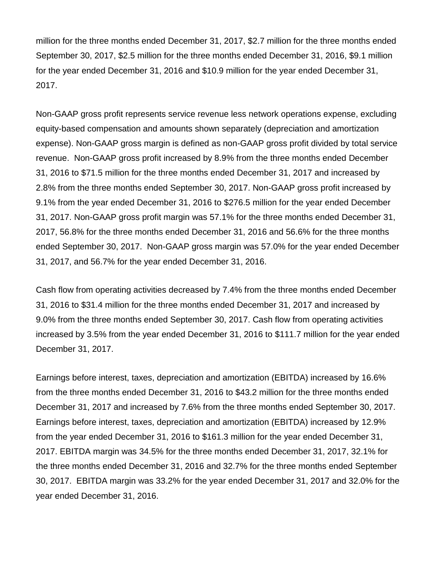million for the three months ended December 31, 2017, \$2.7 million for the three months ended September 30, 2017, \$2.5 million for the three months ended December 31, 2016, \$9.1 million for the year ended December 31, 2016 and \$10.9 million for the year ended December 31, 2017.

Non-GAAP gross profit represents service revenue less network operations expense, excluding equity-based compensation and amounts shown separately (depreciation and amortization expense). Non-GAAP gross margin is defined as non-GAAP gross profit divided by total service revenue. Non-GAAP gross profit increased by 8.9% from the three months ended December 31, 2016 to \$71.5 million for the three months ended December 31, 2017 and increased by 2.8% from the three months ended September 30, 2017. Non-GAAP gross profit increased by 9.1% from the year ended December 31, 2016 to \$276.5 million for the year ended December 31, 2017. Non-GAAP gross profit margin was 57.1% for the three months ended December 31, 2017, 56.8% for the three months ended December 31, 2016 and 56.6% for the three months ended September 30, 2017. Non-GAAP gross margin was 57.0% for the year ended December 31, 2017, and 56.7% for the year ended December 31, 2016.

Cash flow from operating activities decreased by 7.4% from the three months ended December 31, 2016 to \$31.4 million for the three months ended December 31, 2017 and increased by 9.0% from the three months ended September 30, 2017. Cash flow from operating activities increased by 3.5% from the year ended December 31, 2016 to \$111.7 million for the year ended December 31, 2017.

Earnings before interest, taxes, depreciation and amortization (EBITDA) increased by 16.6% from the three months ended December 31, 2016 to \$43.2 million for the three months ended December 31, 2017 and increased by 7.6% from the three months ended September 30, 2017. Earnings before interest, taxes, depreciation and amortization (EBITDA) increased by 12.9% from the year ended December 31, 2016 to \$161.3 million for the year ended December 31, 2017. EBITDA margin was 34.5% for the three months ended December 31, 2017, 32.1% for the three months ended December 31, 2016 and 32.7% for the three months ended September 30, 2017. EBITDA margin was 33.2% for the year ended December 31, 2017 and 32.0% for the year ended December 31, 2016.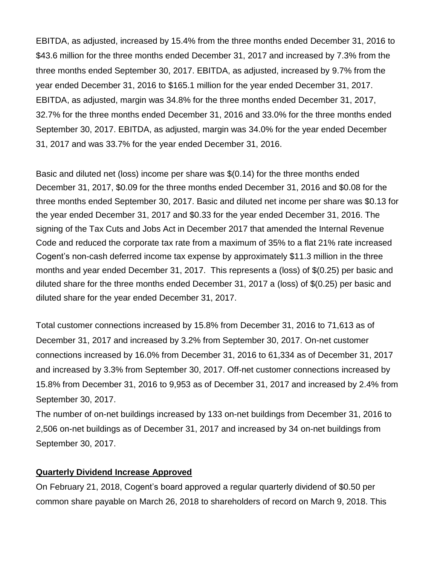EBITDA, as adjusted, increased by 15.4% from the three months ended December 31, 2016 to \$43.6 million for the three months ended December 31, 2017 and increased by 7.3% from the three months ended September 30, 2017. EBITDA, as adjusted, increased by 9.7% from the year ended December 31, 2016 to \$165.1 million for the year ended December 31, 2017. EBITDA, as adjusted, margin was 34.8% for the three months ended December 31, 2017, 32.7% for the three months ended December 31, 2016 and 33.0% for the three months ended September 30, 2017. EBITDA, as adjusted, margin was 34.0% for the year ended December 31, 2017 and was 33.7% for the year ended December 31, 2016.

Basic and diluted net (loss) income per share was \$(0.14) for the three months ended December 31, 2017, \$0.09 for the three months ended December 31, 2016 and \$0.08 for the three months ended September 30, 2017. Basic and diluted net income per share was \$0.13 for the year ended December 31, 2017 and \$0.33 for the year ended December 31, 2016. The signing of the Tax Cuts and Jobs Act in December 2017 that amended the Internal Revenue Code and reduced the corporate tax rate from a maximum of 35% to a flat 21% rate increased Cogent's non-cash deferred income tax expense by approximately \$11.3 million in the three months and year ended December 31, 2017. This represents a (loss) of \$(0.25) per basic and diluted share for the three months ended December 31, 2017 a (loss) of \$(0.25) per basic and diluted share for the year ended December 31, 2017.

Total customer connections increased by 15.8% from December 31, 2016 to 71,613 as of December 31, 2017 and increased by 3.2% from September 30, 2017. On-net customer connections increased by 16.0% from December 31, 2016 to 61,334 as of December 31, 2017 and increased by 3.3% from September 30, 2017. Off-net customer connections increased by 15.8% from December 31, 2016 to 9,953 as of December 31, 2017 and increased by 2.4% from September 30, 2017.

The number of on-net buildings increased by 133 on-net buildings from December 31, 2016 to 2,506 on-net buildings as of December 31, 2017 and increased by 34 on-net buildings from September 30, 2017.

# **Quarterly Dividend Increase Approved**

On February 21, 2018, Cogent's board approved a regular quarterly dividend of \$0.50 per common share payable on March 26, 2018 to shareholders of record on March 9, 2018. This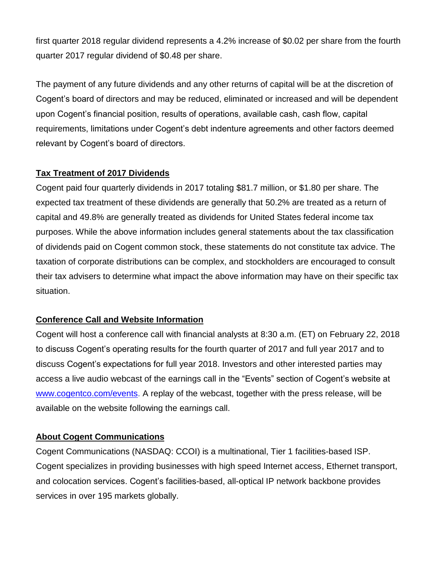first quarter 2018 regular dividend represents a 4.2% increase of \$0.02 per share from the fourth quarter 2017 regular dividend of \$0.48 per share.

The payment of any future dividends and any other returns of capital will be at the discretion of Cogent's board of directors and may be reduced, eliminated or increased and will be dependent upon Cogent's financial position, results of operations, available cash, cash flow, capital requirements, limitations under Cogent's debt indenture agreements and other factors deemed relevant by Cogent's board of directors.

# **Tax Treatment of 2017 Dividends**

Cogent paid four quarterly dividends in 2017 totaling \$81.7 million, or \$1.80 per share. The expected tax treatment of these dividends are generally that 50.2% are treated as a return of capital and 49.8% are generally treated as dividends for United States federal income tax purposes. While the above information includes general statements about the tax classification of dividends paid on Cogent common stock, these statements do not constitute tax advice. The taxation of corporate distributions can be complex, and stockholders are encouraged to consult their tax advisers to determine what impact the above information may have on their specific tax situation.

# **Conference Call and Website Information**

Cogent will host a conference call with financial analysts at 8:30 a.m. (ET) on February 22, 2018 to discuss Cogent's operating results for the fourth quarter of 2017 and full year 2017 and to discuss Cogent's expectations for full year 2018. Investors and other interested parties may access a live audio webcast of the earnings call in the "Events" section of Cogent's website at [www.cogentco.com/events.](http://www.cogentco.com/events) A replay of the webcast, together with the press release, will be available on the website following the earnings call.

# **About Cogent Communications**

Cogent Communications (NASDAQ: CCOI) is a multinational, Tier 1 facilities-based ISP. Cogent specializes in providing businesses with high speed Internet access, Ethernet transport, and colocation services. Cogent's facilities-based, all-optical IP network backbone provides services in over 195 markets globally.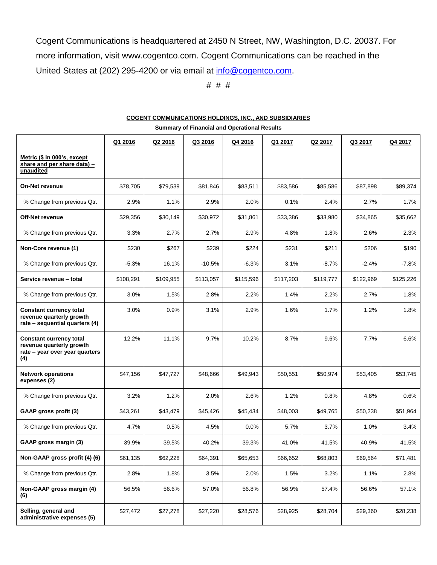Cogent Communications is headquartered at 2450 N Street, NW, Washington, D.C. 20037. For more information, visit www.cogentco.com. Cogent Communications can be reached in the United States at (202) 295-4200 or via email at [info@cogentco.com.](mailto:info@cogentco.com)

# # #

|                                                                                                     |           | <b>Summary of Financial and Operational Results</b> |           |           |           |           |           |           |  |  |  |  |  |
|-----------------------------------------------------------------------------------------------------|-----------|-----------------------------------------------------|-----------|-----------|-----------|-----------|-----------|-----------|--|--|--|--|--|
|                                                                                                     | Q1 2016   | Q2 2016                                             | Q3 2016   | Q4 2016   | Q1 2017   | Q2 2017   | Q3 2017   | Q4 2017   |  |  |  |  |  |
| Metric (\$ in 000's, except<br>share and per share data) -<br>unaudited                             |           |                                                     |           |           |           |           |           |           |  |  |  |  |  |
| <b>On-Net revenue</b>                                                                               | \$78,705  | \$79,539                                            | \$81,846  | \$83,511  | \$83,586  | \$85,586  | \$87,898  | \$89,374  |  |  |  |  |  |
| % Change from previous Qtr.                                                                         | 2.9%      | 1.1%                                                | 2.9%      | 2.0%      | 0.1%      | 2.4%      | 2.7%      | 1.7%      |  |  |  |  |  |
| <b>Off-Net revenue</b>                                                                              | \$29,356  | \$30,149                                            | \$30,972  | \$31,861  | \$33,386  | \$33,980  | \$34,865  | \$35,662  |  |  |  |  |  |
| % Change from previous Qtr.                                                                         | 3.3%      | 2.7%                                                | 2.7%      | 2.9%      | 4.8%      | 1.8%      | 2.6%      | 2.3%      |  |  |  |  |  |
| Non-Core revenue (1)                                                                                | \$230     | \$267                                               | \$239     | \$224     | \$231     | \$211     | \$206     | \$190     |  |  |  |  |  |
| % Change from previous Qtr.                                                                         | $-5.3%$   | 16.1%                                               | $-10.5%$  | $-6.3%$   | 3.1%      | $-8.7%$   | $-2.4%$   | $-7.8%$   |  |  |  |  |  |
| Service revenue - total                                                                             | \$108.291 | \$109,955                                           | \$113,057 | \$115,596 | \$117,203 | \$119,777 | \$122,969 | \$125,226 |  |  |  |  |  |
| % Change from previous Qtr.                                                                         | 3.0%      | 1.5%                                                | 2.8%      | 2.2%      | 1.4%      | 2.2%      | 2.7%      | 1.8%      |  |  |  |  |  |
| <b>Constant currency total</b><br>revenue quarterly growth<br>rate - sequential quarters (4)        | 3.0%      | 0.9%                                                | 3.1%      | 2.9%      | 1.6%      | 1.7%      | 1.2%      | 1.8%      |  |  |  |  |  |
| <b>Constant currency total</b><br>revenue quarterly growth<br>rate - year over year quarters<br>(4) | 12.2%     | 11.1%                                               | 9.7%      | 10.2%     | 8.7%      | 9.6%      | 7.7%      | 6.6%      |  |  |  |  |  |
| <b>Network operations</b><br>expenses (2)                                                           | \$47,156  | \$47,727                                            | \$48,666  | \$49,943  | \$50,551  | \$50,974  | \$53,405  | \$53,745  |  |  |  |  |  |
| % Change from previous Qtr.                                                                         | 3.2%      | 1.2%                                                | 2.0%      | 2.6%      | 1.2%      | 0.8%      | 4.8%      | 0.6%      |  |  |  |  |  |
| GAAP gross profit (3)                                                                               | \$43,261  | \$43,479                                            | \$45,426  | \$45,434  | \$48,003  | \$49,765  | \$50,238  | \$51,964  |  |  |  |  |  |
| % Change from previous Qtr.                                                                         | 4.7%      | 0.5%                                                | 4.5%      | 0.0%      | 5.7%      | 3.7%      | 1.0%      | 3.4%      |  |  |  |  |  |
| GAAP gross margin (3)                                                                               | 39.9%     | 39.5%                                               | 40.2%     | 39.3%     | 41.0%     | 41.5%     | 40.9%     | 41.5%     |  |  |  |  |  |
| Non-GAAP gross profit (4) (6)                                                                       | \$61,135  | \$62,228                                            | \$64,391  | \$65,653  | \$66,652  | \$68,803  | \$69,564  | \$71,481  |  |  |  |  |  |
| % Change from previous Qtr.                                                                         | 2.8%      | 1.8%                                                | 3.5%      | 2.0%      | 1.5%      | 3.2%      | 1.1%      | 2.8%      |  |  |  |  |  |
| Non-GAAP gross margin (4)<br>(6)                                                                    | 56.5%     | 56.6%                                               | 57.0%     | 56.8%     | 56.9%     | 57.4%     | 56.6%     | 57.1%     |  |  |  |  |  |
| Selling, general and<br>administrative expenses (5)                                                 | \$27,472  | \$27,278                                            | \$27,220  | \$28,576  | \$28,925  | \$28,704  | \$29,360  | \$28,238  |  |  |  |  |  |

# **COGENT COMMUNICATIONS HOLDINGS, INC., AND SUBSIDIARIES**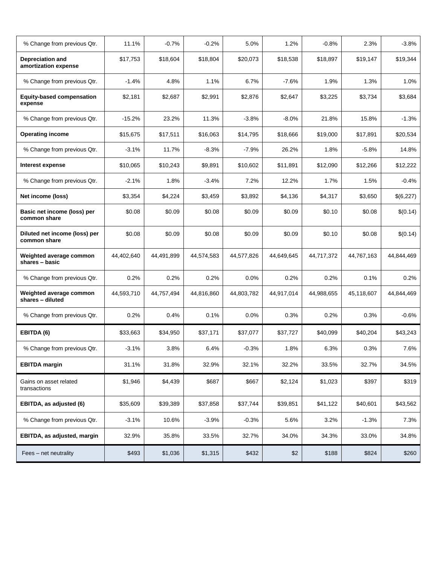| % Change from previous Qtr.                     | 11.1%      | $-0.7%$    | $-0.2%$    | 5.0%       | 1.2%       | $-0.8%$    | 2.3%       | $-3.8%$    |
|-------------------------------------------------|------------|------------|------------|------------|------------|------------|------------|------------|
| <b>Depreciation and</b><br>amortization expense | \$17,753   | \$18,604   | \$18,804   | \$20,073   | \$18,538   | \$18.897   | \$19,147   | \$19,344   |
| % Change from previous Qtr.                     | $-1.4%$    | 4.8%       | 1.1%       | 6.7%       | $-7.6%$    | 1.9%       | 1.3%       | 1.0%       |
| <b>Equity-based compensation</b><br>expense     | \$2,181    | \$2,687    | \$2,991    | \$2,876    | \$2,647    | \$3,225    | \$3,734    | \$3,684    |
| % Change from previous Qtr.                     | $-15.2%$   | 23.2%      | 11.3%      | $-3.8%$    | $-8.0%$    | 21.8%      | 15.8%      | $-1.3%$    |
| <b>Operating income</b>                         | \$15,675   | \$17,511   | \$16,063   | \$14,795   | \$18,666   | \$19,000   | \$17,891   | \$20,534   |
| % Change from previous Qtr.                     | $-3.1%$    | 11.7%      | $-8.3%$    | $-7.9%$    | 26.2%      | 1.8%       | $-5.8%$    | 14.8%      |
| Interest expense                                | \$10,065   | \$10,243   | \$9,891    | \$10,602   | \$11,891   | \$12,090   | \$12,266   | \$12,222   |
| % Change from previous Qtr.                     | $-2.1%$    | 1.8%       | $-3.4%$    | 7.2%       | 12.2%      | 1.7%       | 1.5%       | $-0.4%$    |
| Net income (loss)                               | \$3,354    | \$4,224    | \$3,459    | \$3,892    | \$4,136    | \$4,317    | \$3,650    | \$(6,227)  |
| Basic net income (loss) per<br>common share     | \$0.08     | \$0.09     | \$0.08     | \$0.09     | \$0.09     | \$0.10     | \$0.08     | \$(0.14)   |
| Diluted net income (loss) per<br>common share   | \$0.08     | \$0.09     | \$0.08     | \$0.09     | \$0.09     | \$0.10     | \$0.08     | \$(0.14)   |
| Weighted average common<br>shares - basic       | 44,402,640 | 44,491,899 | 44,574,583 | 44,577,826 | 44,649,645 | 44,717,372 | 44,767,163 | 44,844,469 |
| % Change from previous Qtr.                     | 0.2%       | 0.2%       | 0.2%       | 0.0%       | 0.2%       | 0.2%       | 0.1%       | 0.2%       |
| Weighted average common<br>shares - diluted     | 44,593,710 | 44,757,494 | 44,816,860 | 44,803,782 | 44,917,014 | 44,988,655 | 45,118,607 | 44,844,469 |
| % Change from previous Qtr.                     | 0.2%       | 0.4%       | 0.1%       | 0.0%       | 0.3%       | 0.2%       | 0.3%       | $-0.6%$    |
| EBITDA (6)                                      | \$33,663   | \$34,950   | \$37,171   | \$37,077   | \$37,727   | \$40,099   | \$40,204   | \$43,243   |
| % Change from previous Qtr.                     | $-3.1%$    | 3.8%       | 6.4%       | $-0.3%$    | 1.8%       | 6.3%       | 0.3%       | 7.6%       |
| <b>EBITDA</b> margin                            | 31.1%      | 31.8%      | 32.9%      | 32.1%      | 32.2%      | 33.5%      | 32.7%      | 34.5%      |
| Gains on asset related<br>transactions          | \$1,946    | \$4,439    | \$687      | \$667      | \$2,124    | \$1,023    | \$397      | \$319      |
| EBITDA, as adjusted (6)                         | \$35,609   | \$39,389   | \$37,858   | \$37,744   | \$39,851   | \$41,122   | \$40,601   | \$43,562   |
| % Change from previous Qtr.                     | $-3.1%$    | 10.6%      | $-3.9%$    | $-0.3%$    | 5.6%       | 3.2%       | $-1.3%$    | 7.3%       |
| EBITDA, as adjusted, margin                     | 32.9%      | 35.8%      | 33.5%      | 32.7%      | 34.0%      | 34.3%      | 33.0%      | 34.8%      |
| Fees - net neutrality                           | \$493      | \$1,036    | \$1,315    | \$432      | \$2        | \$188      | \$824      | \$260      |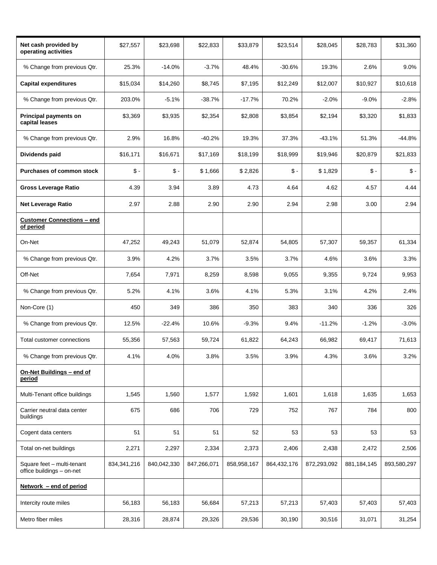| Net cash provided by<br>operating activities            | \$27,557        | \$23,698        | \$22,833    | \$33,879    | \$23,514        | \$28,045    | \$28,783        | \$31,360        |
|---------------------------------------------------------|-----------------|-----------------|-------------|-------------|-----------------|-------------|-----------------|-----------------|
| % Change from previous Qtr.                             | 25.3%           | $-14.0%$        | $-3.7%$     | 48.4%       | $-30.6%$        | 19.3%       | 2.6%            | 9.0%            |
| <b>Capital expenditures</b>                             | \$15,034        | \$14,260        | \$8,745     | \$7,195     | \$12,249        | \$12,007    | \$10,927        | \$10,618        |
| % Change from previous Qtr.                             | 203.0%          | $-5.1%$         | $-38.7%$    | $-17.7%$    | 70.2%           | $-2.0%$     | $-9.0%$         | $-2.8%$         |
| Principal payments on<br>capital leases                 | \$3,369         | \$3,935         | \$2,354     | \$2,808     | \$3,854         | \$2,194     | \$3,320         | \$1,833         |
| % Change from previous Qtr.                             | 2.9%            | 16.8%           | $-40.2%$    | 19.3%       | 37.3%           | $-43.1%$    | 51.3%           | $-44.8%$        |
| Dividends paid                                          | \$16,171        | \$16,671        | \$17,169    | \$18,199    | \$18,999        | \$19,946    | \$20,879        | \$21,833        |
| <b>Purchases of common stock</b>                        | $\mathsf{\$}$ . | $\mathsf{\$}$ . | \$1,666     | \$2,826     | $\mathsf{\$}$ . | \$1,829     | $\mathsf{\$}$ . | $\mathsf{\$}$ - |
| <b>Gross Leverage Ratio</b>                             | 4.39            | 3.94            | 3.89        | 4.73        | 4.64            | 4.62        | 4.57            | 4.44            |
| <b>Net Leverage Ratio</b>                               | 2.97            | 2.88            | 2.90        | 2.90        | 2.94            | 2.98        | 3.00            | 2.94            |
| <b>Customer Connections - end</b><br>of period          |                 |                 |             |             |                 |             |                 |                 |
| On-Net                                                  | 47,252          | 49,243          | 51,079      | 52,874      | 54,805          | 57,307      | 59,357          | 61,334          |
| % Change from previous Qtr.                             | 3.9%            | 4.2%            | 3.7%        | 3.5%        | 3.7%            | 4.6%        | 3.6%            | 3.3%            |
| Off-Net                                                 | 7,654           | 7,971           | 8,259       | 8,598       | 9,055           | 9,355       | 9,724           | 9,953           |
| % Change from previous Qtr.                             | 5.2%            | 4.1%            | 3.6%        | 4.1%        | 5.3%            | 3.1%        | 4.2%            | 2.4%            |
| Non-Core (1)                                            | 450             | 349             | 386         | 350         | 383             | 340         | 336             | 326             |
| % Change from previous Qtr.                             | 12.5%           | $-22.4%$        | 10.6%       | $-9.3%$     | 9.4%            | $-11.2%$    | $-1.2%$         | $-3.0%$         |
| Total customer connections                              | 55,356          | 57,563          | 59,724      | 61,822      | 64,243          | 66,982      | 69,417          | 71,613          |
| % Change from previous Qtr.                             | 4.1%            | 4.0%            | 3.8%        | 3.5%        | 3.9%            | 4.3%        | 3.6%            | 3.2%            |
| On-Net Buildings - end of<br>period                     |                 |                 |             |             |                 |             |                 |                 |
| Multi-Tenant office buildings                           | 1,545           | 1,560           | 1,577       | 1,592       | 1,601           | 1,618       | 1,635           | 1,653           |
| Carrier neutral data center<br>buildings                | 675             | 686             | 706         | 729         | 752             | 767         | 784             | 800             |
| Cogent data centers                                     | 51              | 51              | 51          | 52          | 53              | 53          | 53              | 53              |
| Total on-net buildings                                  | 2,271           | 2,297           | 2,334       | 2,373       | 2,406           | 2,438       | 2,472           | 2,506           |
| Square feet - multi-tenant<br>office buildings - on-net | 834, 341, 216   | 840,042,330     | 847,266,071 | 858,958,167 | 864,432,176     | 872,293,092 | 881, 184, 145   | 893,580,297     |
| Network - end of period                                 |                 |                 |             |             |                 |             |                 |                 |
| Intercity route miles                                   | 56,183          | 56,183          | 56,684      | 57,213      | 57,213          | 57,403      | 57,403          | 57,403          |
| Metro fiber miles                                       | 28,316          | 28,874          | 29,326      | 29,536      | 30,190          | 30,516      | 31,071          | 31,254          |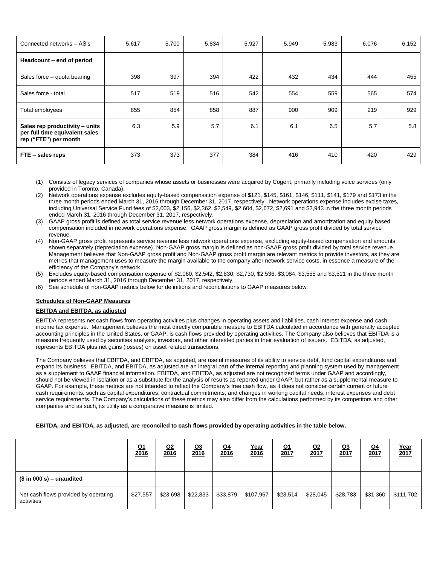| Connected networks - AS's                                                                 | 5,617 | 5,700 | 5,834 | 5,927 | 5,949 | 5,983 | 6,076 | 6,152 |
|-------------------------------------------------------------------------------------------|-------|-------|-------|-------|-------|-------|-------|-------|
| Headcount - end of period                                                                 |       |       |       |       |       |       |       |       |
| Sales force - quota bearing                                                               | 398   | 397   | 394   | 422   | 432   | 434   | 444   | 455   |
| Sales force - total                                                                       | 517   | 519   | 516   | 542   | 554   | 559   | 565   | 574   |
| Total employees                                                                           | 855   | 854   | 858   | 887   | 900   | 909   | 919   | 929   |
| Sales rep productivity – units<br>per full time equivalent sales<br>rep ("FTE") per month | 6.3   | 5.9   | 5.7   | 6.1   | 6.1   | 6.5   | 5.7   | 5.8   |
| FTE - sales reps                                                                          | 373   | 373   | 377   | 384   | 416   | 410   | 420   | 429   |

- (1) Consists of legacy services of companies whose assets or businesses were acquired by Cogent, primarily including voice services (only provided in Toronto, Canada).
- (2) Network operations expense excludes equity-based compensation expense of \$121, \$145, \$161, \$146, \$111, \$141, \$179 and \$173 in the three month periods ended March 31, 2016 through December 31, 2017, respectively. Network operations expense includes excise taxes, including Universal Service Fund fees of \$2,003, \$2,156, \$2,362, \$2,549, \$2,604, \$2,672, \$2,691 and \$2,943 in the three month periods ended March 31, 2016 through December 31, 2017, respectively.
- (3) GAAP gross profit is defined as total service revenue less network operations expense, depreciation and amortization and equity based compensation included in network operations expense. GAAP gross margin is defined as GAAP gross profit divided by total service revenue.
- (4) Non-GAAP gross profit represents service revenue less network operations expense, excluding equity-based compensation and amounts shown separately (depreciation expense). Non-GAAP gross margin is defined as non-GAAP gross profit divided by total service revenue. Management believes that Non-GAAP gross profit and Non-GAAP gross profit margin are relevant metrics to provide investors, as they are metrics that management uses to measure the margin available to the company after network service costs, in essence a measure of the efficiency of the Company's network.
- (5) Excludes equity-based compensation expense of \$2,060, \$2,542, \$2,830, \$2,730, \$2,536, \$3,084, \$3,555 and \$3,511 in the three month periods ended March 31, 2016 through December 31, 2017, respectively.
- (6) See schedule of non-GAAP metrics below for definitions and reconciliations to GAAP measures below.

#### **Schedules of Non-GAAP Measures**

#### **EBITDA and EBITDA, as adjusted**

EBITDA represents net cash flows from operating activities plus changes in operating assets and liabilities, cash interest expense and cash income tax expense. Management believes the most directly comparable measure to EBITDA calculated in accordance with generally accepted accounting principles in the United States, or GAAP, is cash flows provided by operating activities. The Company also believes that EBITDA is a measure frequently used by securities analysts, investors, and other interested parties in their evaluation of issuers. EBITDA, as adjusted, represents EBITDA plus net gains (losses) on asset related transactions.

The Company believes that EBITDA, and EBITDA, as adjusted, are useful measures of its ability to service debt, fund capital expenditures and expand its business. EBITDA, and EBITDA, as adjusted are an integral part of the internal reporting and planning system used by management as a supplement to GAAP financial information. EBITDA, and EBITDA, as adjusted are not recognized terms under GAAP and accordingly, should not be viewed in isolation or as a substitute for the analysis of results as reported under GAAP, but rather as a supplemental measure to GAAP. For example, these metrics are not intended to reflect the Company's free cash flow, as it does not consider certain current or future cash requirements, such as capital expenditures, contractual commitments, and changes in working capital needs, interest expenses and debt service requirements. The Company's calculations of these metrics may also differ from the calculations performed by its competitors and other companies and as such, its utility as a comparative measure is limited.

#### **EBITDA, and EBITDA, as adjusted, are reconciled to cash flows provided by operating activities in the table below.**

|                                                    | <u>Q1</u><br>2016 | <u>Q2</u><br>2016 | <u>Q3</u><br>2016 | $Q_4$<br>2016 | Year<br>2016 | $Q_1$<br>2017 | Q2<br>2017 | <u>Q3</u><br><u>2017</u> | <u>Q4</u><br>2017 | $\frac{Year}{2017}$ |
|----------------------------------------------------|-------------------|-------------------|-------------------|---------------|--------------|---------------|------------|--------------------------|-------------------|---------------------|
| $$$ in 000's) – unaudited                          |                   |                   |                   |               |              |               |            |                          |                   |                     |
| Net cash flows provided by operating<br>activities | \$27,557          | \$23,698          | \$22,833          | \$33,879      | \$107,967    | \$23,514      | \$28,045   | \$28,783                 | \$31,360          | \$111,702           |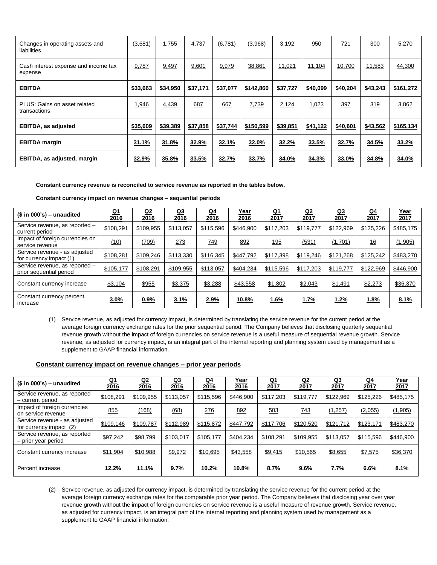| Changes in operating assets and<br>liabilities  | (3,681)  | 1,755    | 4,737    | (6,781)  | (3,968)   | 3,192    | 950      | 721      | 300      | 5,270     |
|-------------------------------------------------|----------|----------|----------|----------|-----------|----------|----------|----------|----------|-----------|
| Cash interest expense and income tax<br>expense | 9,787    | 9,497    | 9,601    | 9,979    | 38,861    | 11,021   | 11,104   | 10,700   | 11,583   | 44,300    |
| <b>EBITDA</b>                                   | \$33,663 | \$34,950 | \$37,171 | \$37,077 | \$142,860 | \$37,727 | \$40,099 | \$40,204 | \$43,243 | \$161,272 |
| PLUS: Gains on asset related<br>transactions    | 1,946    | 4,439    | 687      | 667      | 7,739     | 2,124    | 1,023    | 397      | 319      | 3,862     |
| <b>EBITDA, as adjusted</b>                      | \$35,609 | \$39,389 | \$37,858 | \$37,744 | \$150,599 | \$39,851 | \$41,122 | \$40,601 | \$43,562 | \$165,134 |
| <b>EBITDA</b> margin                            | 31.1%    | 31.8%    | 32.9%    | 32.1%    | 32.0%     | 32.2%    | 33.5%    | 32.7%    | 34.5%    | 33.2%     |
| <b>EBITDA, as adjusted, margin</b>              | 32.9%    | 35.8%    | 33.5%    | 32.7%    | 33.7%     | 34.0%    | 34.3%    | 33.0%    | 34.8%    | 34.0%     |

**Constant currency revenue is reconciled to service revenue as reported in the tables below.**

|  | Constant currency impact on revenue changes – sequential periods |  |  |  |  |  |
|--|------------------------------------------------------------------|--|--|--|--|--|
|--|------------------------------------------------------------------|--|--|--|--|--|

| $($ in 000's) - unaudited$                                | $Q_1$<br>2016 | <u>Q2</u><br>2016 | <u>Q3</u><br>2016 | <u>Q4</u><br>2016 | <u>Year</u><br>2016 | <u>Q1</u><br>2017 | <u>Q2</u><br>2017 | <u>Q3</u><br>2017 | <u>Q4</u><br>2017 | <u>Year</u><br>2017 |
|-----------------------------------------------------------|---------------|-------------------|-------------------|-------------------|---------------------|-------------------|-------------------|-------------------|-------------------|---------------------|
| Service revenue, as reported -<br>current period          | \$108,291     | \$109.955         | \$113.057         | \$115,596         | \$446.900           | \$117,203         | \$119,777         | \$122.969         | \$125,226         | \$485,175           |
| Impact of foreign currencies on<br>service revenue        | (10)          | (709)             | 273               | <u>749</u>        | 892                 | <u>195</u>        | (531)             | (1,701)           | 16                | (1, 905)            |
| Service revenue - as adjusted<br>for currency impact (1)  | \$108,281     | \$109,246         | \$113,330         | \$116,345         | \$447,792           | \$117,398         | \$119,246         | \$121,268         | \$125,242         | \$483,270           |
| Service revenue, as reported -<br>prior sequential period | \$105,177     | \$108,291         | \$109,955         | \$113,057         | \$404,234           | \$115,596         | \$117,203         | \$119,777         | \$122,969         | \$446,900           |
| Constant currency increase                                | \$3,104       | \$955             | \$3,375           | \$3,288           | \$43,558            | \$1,802           | \$2,043           | \$1,491           | \$2,273           | \$36,370            |
| Constant currency percent<br>increase                     | 3.0%          | 0.9%              | 3.1%              | 2.9%              | <u>10.8%</u>        | <u>1.6%</u>       | <u>1.7%</u>       | <u>1.2%</u>       | <u>1.8%</u>       | 8.1%                |

(1) Service revenue, as adjusted for currency impact, is determined by translating the service revenue for the current period at the average foreign currency exchange rates for the prior sequential period. The Company believes that disclosing quarterly sequential revenue growth without the impact of foreign currencies on service revenue is a useful measure of sequential revenue growth. Service revenue, as adjusted for currency impact, is an integral part of the internal reporting and planning system used by management as a supplement to GAAP financial information.

#### **Constant currency impact on revenue changes – prior year periods**

| $($ in 000's) - unaudited$                               | $Q_1$<br>2016 | <u>Q2</u><br>2016 | <u>Q3</u><br>2016 | <u>Q4</u><br>2016 | <u>Year</u><br>2016 | Q <sub>1</sub><br>2017 | <u>Q2</u><br>2017 | <u>Q3</u><br>2017 | <u>Q4</u><br>2017 | <u>Year</u><br>2017 |
|----------------------------------------------------------|---------------|-------------------|-------------------|-------------------|---------------------|------------------------|-------------------|-------------------|-------------------|---------------------|
| Service revenue, as reported<br>- current period         | \$108,291     | \$109,955         | \$113,057         | \$115,596         | \$446,900           | \$117,203              | \$119,777         | \$122,969         | \$125,226         | \$485,175           |
| Impact of foreign currencies<br>on service revenue       | 855           | (168)             | (68)              | 276               | 892                 | <u>503</u>             | <u>743</u>        | (1,257)           | (2,055)           | (1,905)             |
| Service revenue - as adjusted<br>for currency impact (2) | \$109,146     | \$109,787         | \$112,989         | \$115,872         | \$447,792           | \$117,706              | \$120,520         | \$121,712         | \$123,171         | \$483,270           |
| Service revenue, as reported<br>- prior year period      | \$97,242      | \$98,799          | \$103,017         | \$105,177         | \$404,234           | \$108,291              | \$109,955         | \$113,057         | \$115,596         | \$446,900           |
| Constant currency increase                               | \$11,904      | \$10,988          | \$9,972           | \$10,695          | \$43,558            | \$9,415                | \$10,565          | \$8,655           | \$7,575           | \$36,370            |
| Percent increase                                         | 12.2%         | <u>11.1%</u>      | 9.7%              | <b>10.2%</b>      | <u>10.8%</u>        | 8.7%                   | 9.6%              | <u>7.7%</u>       | 6.6%              | 8.1%                |

(2) Service revenue, as adjusted for currency impact, is determined by translating the service revenue for the current period at the average foreign currency exchange rates for the comparable prior year period. The Company believes that disclosing year over year revenue growth without the impact of foreign currencies on service revenue is a useful measure of revenue growth. Service revenue, as adjusted for currency impact, is an integral part of the internal reporting and planning system used by management as a supplement to GAAP financial information.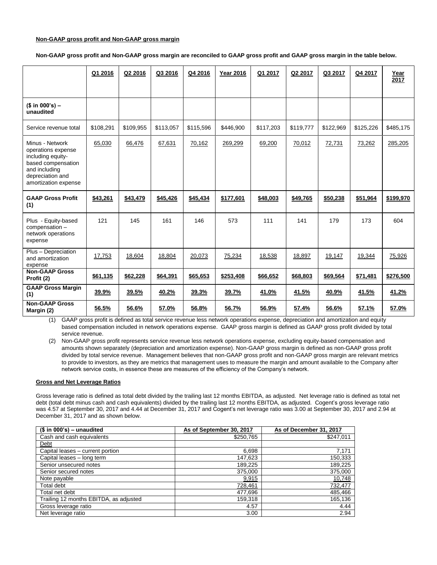#### **Non-GAAP gross profit and Non-GAAP gross margin**

**Non-GAAP gross profit and Non-GAAP gross margin are reconciled to GAAP gross profit and GAAP gross margin in the table below.**

|                                                                                                                                               | Q1 2016   | Q2 2016   | Q3 2016   | Q4 2016   | <b>Year 2016</b> | Q1 2017   | Q2 2017   | Q3 2017   | Q4 2017   | Year<br>2017 |
|-----------------------------------------------------------------------------------------------------------------------------------------------|-----------|-----------|-----------|-----------|------------------|-----------|-----------|-----------|-----------|--------------|
| $($ in 000's) -$<br>unaudited                                                                                                                 |           |           |           |           |                  |           |           |           |           |              |
| Service revenue total                                                                                                                         | \$108,291 | \$109,955 | \$113,057 | \$115,596 | \$446,900        | \$117,203 | \$119,777 | \$122,969 | \$125,226 | \$485,175    |
| Minus - Network<br>operations expense<br>including equity-<br>based compensation<br>and including<br>depreciation and<br>amortization expense | 65,030    | 66,476    | 67,631    | 70,162    | 269,299          | 69,200    | 70,012    | 72,731    | 73,262    | 285,205      |
| <b>GAAP Gross Profit</b><br>(1)                                                                                                               | \$43,261  | \$43,479  | \$45,426  | \$45,434  | \$177,601        | \$48,003  | \$49,765  | \$50,238  | \$51,964  | \$199,970    |
| Plus - Equity-based<br>compensation -<br>network operations<br>expense                                                                        | 121       | 145       | 161       | 146       | 573              | 111       | 141       | 179       | 173       | 604          |
| Plus - Depreciation<br>and amortization<br>expense                                                                                            | 17,753    | 18,604    | 18,804    | 20,073    | 75,234           | 18,538    | 18,897    | 19,147    | 19,344    | 75,926       |
| <b>Non-GAAP Gross</b><br>Profit (2)                                                                                                           | \$61,135  | \$62,228  | \$64,391  | \$65,653  | \$253,408        | \$66,652  | \$68,803  | \$69,564  | \$71,481  | \$276,500    |
| <b>GAAP Gross Margin</b><br>(1)                                                                                                               | 39.9%     | 39.5%     | 40.2%     | 39.3%     | 39.7%            | 41.0%     | 41.5%     | 40.9%     | 41.5%     | 41.2%        |
| <b>Non-GAAP Gross</b><br>Margin (2)                                                                                                           | 56.5%     | 56.6%     | 57.0%     | 56.8%     | 56.7%            | 56.9%     | 57.4%     | 56.6%     | 57.1%     | 57.0%        |

(1) GAAP gross profit is defined as total service revenue less network operations expense, depreciation and amortization and equity based compensation included in network operations expense. GAAP gross margin is defined as GAAP gross profit divided by total service revenue.

(2) Non-GAAP gross profit represents service revenue less network operations expense, excluding equity-based compensation and amounts shown separately (depreciation and amortization expense). Non-GAAP gross margin is defined as non-GAAP gross profit divided by total service revenue. Management believes that non-GAAP gross profit and non-GAAP gross margin are relevant metrics to provide to investors, as they are metrics that management uses to measure the margin and amount available to the Company after network service costs, in essence these are measures of the efficiency of the Company's network.

#### **Gross and Net Leverage Ratios**

Gross leverage ratio is defined as total debt divided by the trailing last 12 months EBITDA, as adjusted. Net leverage ratio is defined as total net debt (total debt minus cash and cash equivalents) divided by the trailing last 12 months EBITDA, as adjusted. Cogent's gross leverage ratio was 4.57 at September 30, 2017 and 4.44 at December 31, 2017 and Cogent's net leverage ratio was 3.00 at September 30, 2017 and 2.94 at December 31, 2017 and as shown below.

| $($ in 000's) - unaudited$             | As of September 30, 2017 | As of December 31, 2017 |
|----------------------------------------|--------------------------|-------------------------|
| Cash and cash equivalents              | \$250,765                | \$247,011               |
| Debt                                   |                          |                         |
| Capital leases - current portion       | 6,698                    | 7,171                   |
| Capital leases - long term             | 147,623                  | 150,333                 |
| Senior unsecured notes                 | 189,225                  | 189,225                 |
| Senior secured notes                   | 375,000                  | 375,000                 |
| Note payable                           | 9,915                    | 10,748                  |
| Total debt                             | 728,461                  | 732,477                 |
| Total net debt                         | 477,696                  | 485,466                 |
| Trailing 12 months EBITDA, as adjusted | 159,318                  | 165,136                 |
| Gross leverage ratio                   | 4.57                     | 4.44                    |
| Net leverage ratio                     | 3.00                     | 2.94                    |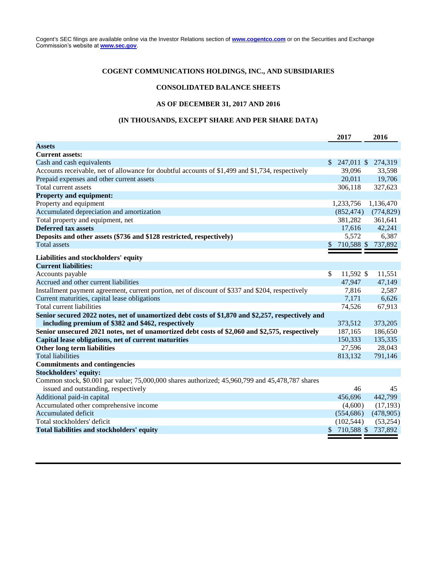Cogent's SEC filings are available online via the Investor Relations section of **[www.cogentco.com](http://www.cogentco.com/)** or on the Securities and Exchange Commission's website at **[www.sec.gov](http://www.sec.gov/)**.

## **COGENT COMMUNICATIONS HOLDINGS, INC., AND SUBSIDIARIES**

### **CONSOLIDATED BALANCE SHEETS**

#### **AS OF DECEMBER 31, 2017 AND 2016**

## **(IN THOUSANDS, EXCEPT SHARE AND PER SHARE DATA)**

|                                                                                                   |               | 2017          | 2016       |
|---------------------------------------------------------------------------------------------------|---------------|---------------|------------|
| <b>Assets</b>                                                                                     |               |               |            |
| <b>Current assets:</b>                                                                            |               |               |            |
| Cash and cash equivalents                                                                         |               | $$247,011$ \$ | 274,319    |
| Accounts receivable, net of allowance for doubtful accounts of \$1,499 and \$1,734, respectively  |               | 39,096        | 33,598     |
| Prepaid expenses and other current assets                                                         |               | 20,011        | 19,706     |
| Total current assets                                                                              |               | 306,118       | 327,623    |
| <b>Property and equipment:</b>                                                                    |               |               |            |
| Property and equipment                                                                            |               | 1,233,756     | 1,136,470  |
| Accumulated depreciation and amortization                                                         |               | (852, 474)    | (774, 829) |
| Total property and equipment, net                                                                 |               | 381,282       | 361,641    |
| <b>Deferred tax assets</b>                                                                        |               | 17,616        | 42,241     |
| Deposits and other assets (\$736 and \$128 restricted, respectively)                              |               | 5,572         | 6,387      |
| <b>Total assets</b>                                                                               | \$            | 710,588 \$    | 737,892    |
|                                                                                                   |               |               |            |
| Liabilities and stockholders' equity<br><b>Current liabilities:</b>                               |               |               |            |
| Accounts payable                                                                                  | \$            | 11,592 \$     | 11,551     |
| Accrued and other current liabilities                                                             |               | 47,947        | 47,149     |
| Installment payment agreement, current portion, net of discount of \$337 and \$204, respectively  |               | 7,816         | 2,587      |
| Current maturities, capital lease obligations                                                     |               | 7,171         | 6,626      |
| Total current liabilities                                                                         |               | 74,526        | 67,913     |
| Senior secured 2022 notes, net of unamortized debt costs of \$1,870 and \$2,257, respectively and |               |               |            |
| including premium of \$382 and \$462, respectively                                                |               | 373,512       | 373,205    |
| Senior unsecured 2021 notes, net of unamortized debt costs of \$2,060 and \$2,575, respectively   |               | 187,165       | 186,650    |
| Capital lease obligations, net of current maturities                                              |               | 150,333       | 135,335    |
| Other long term liabilities                                                                       |               | 27,596        | 28,043     |
| <b>Total liabilities</b>                                                                          |               | 813,132       | 791,146    |
| <b>Commitments and contingencies</b>                                                              |               |               |            |
| <b>Stockholders' equity:</b>                                                                      |               |               |            |
| Common stock, \$0.001 par value; 75,000,000 shares authorized; 45,960,799 and 45,478,787 shares   |               |               |            |
| issued and outstanding, respectively                                                              |               | 46            | 45         |
| Additional paid-in capital                                                                        |               | 456,696       | 442,799    |
| Accumulated other comprehensive income                                                            |               | (4,600)       | (17, 193)  |
| Accumulated deficit                                                                               |               | (554, 686)    | (478,905)  |
| Total stockholders' deficit                                                                       |               | (102, 544)    | (53,254)   |
| Total liabilities and stockholders' equity                                                        | $\frac{1}{2}$ | 710,588 \$    | 737,892    |
|                                                                                                   |               |               |            |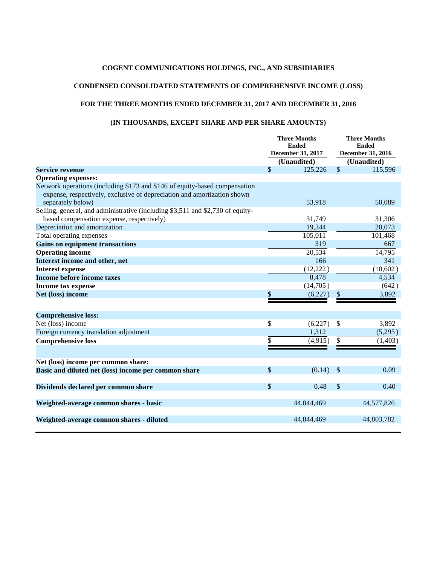## **COGENT COMMUNICATIONS HOLDINGS, INC., AND SUBSIDIARIES**

## **CONDENSED CONSOLIDATED STATEMENTS OF COMPREHENSIVE INCOME (LOSS)**

## **FOR THE THREE MONTHS ENDED DECEMBER 31, 2017 AND DECEMBER 31, 2016**

## **(IN THOUSANDS, EXCEPT SHARE AND PER SHARE AMOUNTS)**

|                                                                                                                                                                            | <b>Three Months</b><br><b>Ended</b><br><b>December 31, 2017</b> |                        | <b>Three Months</b><br><b>Ended</b><br><b>December 31, 2016</b> |                        |
|----------------------------------------------------------------------------------------------------------------------------------------------------------------------------|-----------------------------------------------------------------|------------------------|-----------------------------------------------------------------|------------------------|
| <b>Service revenue</b>                                                                                                                                                     | \$                                                              | (Unaudited)<br>125,226 | \$                                                              | (Unaudited)<br>115,596 |
| <b>Operating expenses:</b>                                                                                                                                                 |                                                                 |                        |                                                                 |                        |
| Network operations (including \$173 and \$146 of equity-based compensation<br>expense, respectively, exclusive of depreciation and amortization shown<br>separately below) |                                                                 | 53,918                 |                                                                 | 50,089                 |
| Selling, general, and administrative (including \$3,511 and \$2,730 of equity-<br>based compensation expense, respectively)                                                |                                                                 | 31,749                 |                                                                 | 31,306                 |
| Depreciation and amortization                                                                                                                                              |                                                                 | 19,344                 |                                                                 | 20,073                 |
| Total operating expenses                                                                                                                                                   |                                                                 | 105,011                |                                                                 | 101,468                |
| <b>Gains on equipment transactions</b>                                                                                                                                     |                                                                 | 319                    |                                                                 | 667                    |
| <b>Operating income</b>                                                                                                                                                    |                                                                 | 20,534                 |                                                                 | 14,795                 |
| Interest income and other, net                                                                                                                                             |                                                                 | 166                    |                                                                 | 341                    |
| <b>Interest expense</b>                                                                                                                                                    |                                                                 | (12,222)               |                                                                 | (10,602)               |
| Income before income taxes                                                                                                                                                 |                                                                 | 8,478                  |                                                                 | 4,534                  |
| <b>Income tax expense</b>                                                                                                                                                  |                                                                 | (14,705)               |                                                                 | (642)                  |
| Net (loss) income                                                                                                                                                          | \$                                                              | (6,227)                | \$                                                              | 3,892                  |
| <b>Comprehensive loss:</b>                                                                                                                                                 |                                                                 |                        |                                                                 |                        |
| Net (loss) income                                                                                                                                                          | \$                                                              | (6,227)                | $\mathbb{S}$                                                    | 3,892                  |
| Foreign currency translation adjustment                                                                                                                                    |                                                                 | 1,312                  |                                                                 | (5,295)                |
| <b>Comprehensive loss</b>                                                                                                                                                  | \$                                                              | (4,915)                | \$                                                              | (1, 403)               |
| Net (loss) income per common share:                                                                                                                                        |                                                                 |                        |                                                                 |                        |
| Basic and diluted net (loss) income per common share                                                                                                                       | \$                                                              | (0.14)                 | $\mathcal{S}$                                                   | 0.09                   |
| Dividends declared per common share                                                                                                                                        | \$                                                              | 0.48                   | $\frac{1}{2}$                                                   | 0.40                   |
| Weighted-average common shares - basic                                                                                                                                     |                                                                 | 44,844,469             |                                                                 | 44,577,826             |
| Weighted-average common shares - diluted                                                                                                                                   |                                                                 | 44,844,469             |                                                                 | 44,803,782             |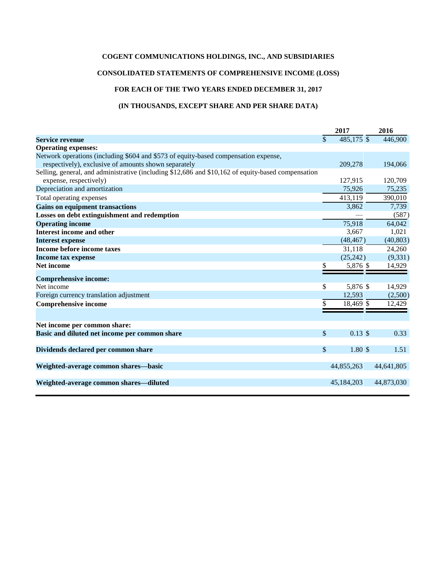## **COGENT COMMUNICATIONS HOLDINGS, INC., AND SUBSIDIARIES**

## **CONSOLIDATED STATEMENTS OF COMPREHENSIVE INCOME (LOSS)**

## **FOR EACH OF THE TWO YEARS ENDED DECEMBER 31, 2017**

### **(IN THOUSANDS, EXCEPT SHARE AND PER SHARE DATA)**

|                                                                                                    |             | 2017               | 2016       |  |
|----------------------------------------------------------------------------------------------------|-------------|--------------------|------------|--|
| <b>Service revenue</b>                                                                             | \$          | 485,175 \$         | 446,900    |  |
| <b>Operating expenses:</b>                                                                         |             |                    |            |  |
| Network operations (including \$604 and \$573 of equity-based compensation expense,                |             |                    |            |  |
| respectively), exclusive of amounts shown separately                                               |             | 209,278            | 194,066    |  |
| Selling, general, and administrative (including \$12,686 and \$10,162 of equity-based compensation |             |                    |            |  |
| expense, respectively)                                                                             |             | 127,915            | 120,709    |  |
| Depreciation and amortization                                                                      |             | 75,926             | 75,235     |  |
| Total operating expenses                                                                           |             | 413,119            | 390,010    |  |
| <b>Gains on equipment transactions</b>                                                             |             | 3,862              | 7,739      |  |
| Losses on debt extinguishment and redemption                                                       |             |                    | (587)      |  |
| <b>Operating income</b>                                                                            |             | 75,918             | 64,042     |  |
| <b>Interest income and other</b>                                                                   |             | 3,667              | 1,021      |  |
| <b>Interest expense</b>                                                                            |             | (48, 467)          | (40, 803)  |  |
| Income before income taxes                                                                         |             | 31,118             | 24,260     |  |
| Income tax expense                                                                                 |             | (25, 242)          | (9, 331)   |  |
| <b>Net income</b>                                                                                  |             | 5,876 \$           | 14,929     |  |
| <b>Comprehensive income:</b>                                                                       |             |                    |            |  |
| Net income                                                                                         | \$          | 5,876 \$           | 14,929     |  |
| Foreign currency translation adjustment                                                            |             | 12.593             | (2,500)    |  |
| <b>Comprehensive income</b>                                                                        | \$          | 18,469 \$          | 12,429     |  |
|                                                                                                    |             |                    |            |  |
| Net income per common share:                                                                       |             |                    |            |  |
| Basic and diluted net income per common share                                                      | $\sqrt{\ }$ | $0.13 \text{ }$ \$ | 0.33       |  |
| Dividends declared per common share                                                                | \$          | 1.80S              | 1.51       |  |
| Weighted-average common shares-basic                                                               |             | 44,855,263         | 44,641,805 |  |
| Weighted-average common shares—diluted                                                             |             | 45,184,203         | 44,873,030 |  |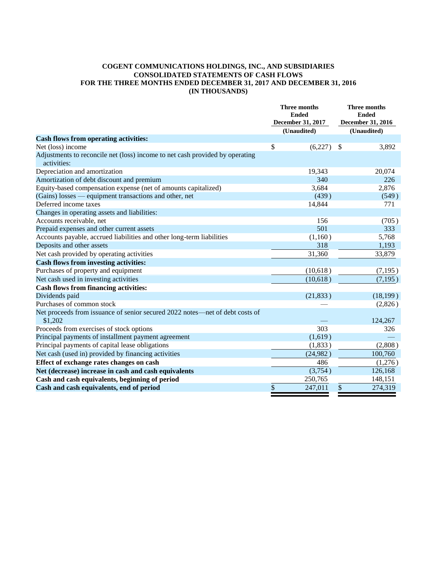### **COGENT COMMUNICATIONS HOLDINGS, INC., AND SUBSIDIARIES CONSOLIDATED STATEMENTS OF CASH FLOWS FOR THE THREE MONTHS ENDED DECEMBER 31, 2017 AND DECEMBER 31, 2016 (IN THOUSANDS)**

|                                                                                             | <b>Three months</b><br><b>Ended</b><br>December 31, 2017 |             | Three months<br><b>Ended</b><br><b>December 31, 2016</b> |           |
|---------------------------------------------------------------------------------------------|----------------------------------------------------------|-------------|----------------------------------------------------------|-----------|
|                                                                                             |                                                          | (Unaudited) | (Unaudited)                                              |           |
| <b>Cash flows from operating activities:</b>                                                |                                                          |             |                                                          |           |
| Net (loss) income                                                                           | \$                                                       | (6,227)     | \$                                                       | 3,892     |
| Adjustments to reconcile net (loss) income to net cash provided by operating<br>activities: |                                                          |             |                                                          |           |
| Depreciation and amortization                                                               |                                                          | 19,343      |                                                          | 20,074    |
| Amortization of debt discount and premium                                                   |                                                          | 340         |                                                          | 226       |
| Equity-based compensation expense (net of amounts capitalized)                              |                                                          | 3,684       |                                                          | 2,876     |
| (Gains) losses — equipment transactions and other, net                                      |                                                          | (439)       |                                                          | (549)     |
| Deferred income taxes                                                                       |                                                          | 14,844      |                                                          | 771       |
| Changes in operating assets and liabilities:                                                |                                                          |             |                                                          |           |
| Accounts receivable, net                                                                    |                                                          | 156         |                                                          | (705)     |
| Prepaid expenses and other current assets                                                   |                                                          | 501         |                                                          | 333       |
| Accounts payable, accrued liabilities and other long-term liabilities                       |                                                          | (1,160)     |                                                          | 5,768     |
| Deposits and other assets                                                                   |                                                          | 318         |                                                          | 1,193     |
| Net cash provided by operating activities                                                   |                                                          | 31,360      |                                                          | 33,879    |
| <b>Cash flows from investing activities:</b>                                                |                                                          |             |                                                          |           |
| Purchases of property and equipment                                                         |                                                          | (10,618)    |                                                          | (7, 195)  |
| Net cash used in investing activities                                                       |                                                          | (10,618)    |                                                          | (7, 195)  |
| <b>Cash flows from financing activities:</b>                                                |                                                          |             |                                                          |           |
| Dividends paid                                                                              |                                                          | (21, 833)   |                                                          | (18, 199) |
| Purchases of common stock                                                                   |                                                          |             |                                                          | (2,826)   |
| Net proceeds from issuance of senior secured 2022 notes—net of debt costs of<br>\$1,202     |                                                          |             |                                                          | 124,267   |
| Proceeds from exercises of stock options                                                    |                                                          | 303         |                                                          | 326       |
| Principal payments of installment payment agreement                                         |                                                          | (1,619)     |                                                          |           |
| Principal payments of capital lease obligations                                             |                                                          | (1, 833)    |                                                          | (2,808)   |
| Net cash (used in) provided by financing activities                                         |                                                          | (24, 982)   |                                                          | 100,760   |
| Effect of exchange rates changes on cash                                                    |                                                          | 486         |                                                          | (1,276)   |
| Net (decrease) increase in cash and cash equivalents                                        |                                                          | (3,754)     |                                                          | 126,168   |
| Cash and cash equivalents, beginning of period                                              |                                                          | 250,765     |                                                          | 148,151   |
| Cash and cash equivalents, end of period                                                    | \$                                                       | 247,011     | \$                                                       | 274,319   |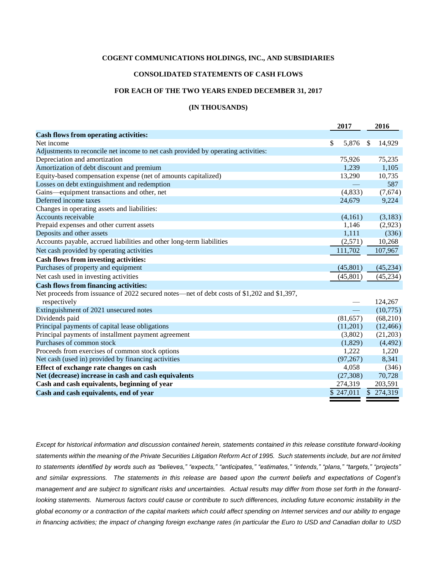#### **COGENT COMMUNICATIONS HOLDINGS, INC., AND SUBSIDIARIES**

#### **CONSOLIDATED STATEMENTS OF CASH FLOWS**

### **FOR EACH OF THE TWO YEARS ENDED DECEMBER 31, 2017**

#### **(IN THOUSANDS)**

|                                                                                            | 2017        |              | 2016                    |
|--------------------------------------------------------------------------------------------|-------------|--------------|-------------------------|
| <b>Cash flows from operating activities:</b>                                               |             |              |                         |
| Net income                                                                                 | \$<br>5,876 | $\mathbb{S}$ | 14,929                  |
| Adjustments to reconcile net income to net cash provided by operating activities:          |             |              |                         |
| Depreciation and amortization                                                              | 75,926      |              | 75,235                  |
| Amortization of debt discount and premium                                                  | 1,239       |              | 1,105                   |
| Equity-based compensation expense (net of amounts capitalized)                             | 13,290      |              | 10,735                  |
| Losses on debt extinguishment and redemption                                               |             |              | 587                     |
| Gains—equipment transactions and other, net                                                | (4,833)     |              | (7,674)                 |
| Deferred income taxes                                                                      | 24,679      |              | 9,224                   |
| Changes in operating assets and liabilities:                                               |             |              |                         |
| Accounts receivable                                                                        | (4,161)     |              | (3,183)                 |
| Prepaid expenses and other current assets                                                  | 1,146       |              | (2,923)                 |
| Deposits and other assets                                                                  | 1,111       |              | (336)                   |
| Accounts payable, accrued liabilities and other long-term liabilities                      | (2,571)     |              | 10,268                  |
| Net cash provided by operating activities                                                  | 111,702     |              | 107,967                 |
| <b>Cash flows from investing activities:</b>                                               |             |              |                         |
| Purchases of property and equipment                                                        | (45, 801)   |              | (45,234)                |
| Net cash used in investing activities                                                      | (45, 801)   |              | (45, 234)               |
| <b>Cash flows from financing activities:</b>                                               |             |              |                         |
| Net proceeds from issuance of 2022 secured notes—net of debt costs of \$1,202 and \$1,397, |             |              |                         |
| respectively                                                                               |             |              | 124,267                 |
| Extinguishment of 2021 unsecured notes                                                     |             |              | (10,775)                |
| Dividends paid                                                                             | (81, 657)   |              | (68,210)                |
| Principal payments of capital lease obligations                                            | (11,201)    |              | (12, 466)               |
| Principal payments of installment payment agreement                                        | (3,802)     |              | (21,203)                |
| Purchases of common stock                                                                  | (1,829)     |              | (4, 492)                |
| Proceeds from exercises of common stock options                                            | 1,222       |              | 1,220                   |
| Net cash (used in) provided by financing activities                                        | (97, 267)   |              | 8,341                   |
| Effect of exchange rate changes on cash                                                    | 4,058       |              | (346)                   |
| Net (decrease) increase in cash and cash equivalents                                       | (27,308)    |              | 70,728                  |
| Cash and cash equivalents, beginning of year                                               | 274,319     |              | 203,591                 |
| Cash and cash equivalents, end of year                                                     | \$247,011   |              | $\overline{\$}$ 274,319 |
|                                                                                            |             |              |                         |

*Except for historical information and discussion contained herein, statements contained in this release constitute forward-looking statements within the meaning of the Private Securities Litigation Reform Act of 1995. Such statements include, but are not limited to statements identified by words such as "believes," "expects," "anticipates," "estimates," "intends," "plans," "targets," "projects" and similar expressions. The statements in this release are based upon the current beliefs and expectations of Cogent's management and are subject to significant risks and uncertainties. Actual results may differ from those set forth in the forwardlooking statements. Numerous factors could cause or contribute to such differences, including future economic instability in the global economy or a contraction of the capital markets which could affect spending on Internet services and our ability to engage*  in financing activities; the impact of changing foreign exchange rates (in particular the Euro to USD and Canadian dollar to USD